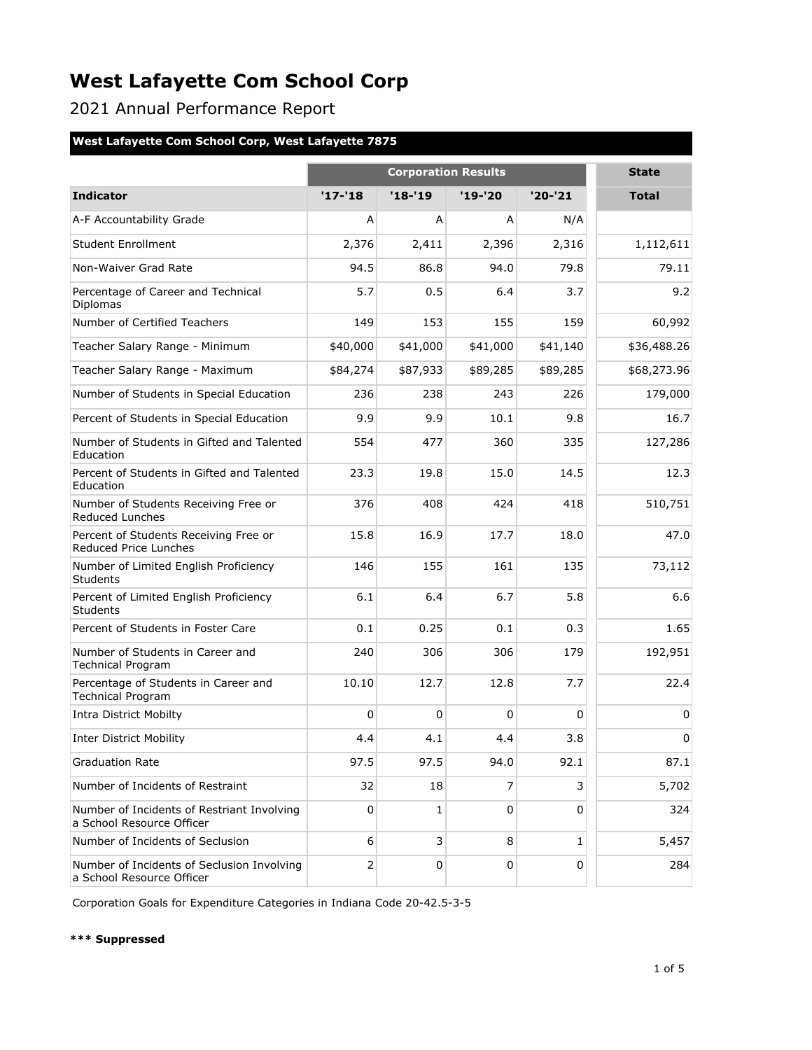2021 Annual Performance Report

### **West Lafayette Com School Corp, West Lafayette 7875**

|                                                                         | <b>Corporation Results</b> |          |             |              | <b>State</b> |
|-------------------------------------------------------------------------|----------------------------|----------|-------------|--------------|--------------|
| <b>Indicator</b>                                                        | $'17 - 18$                 | $'18-19$ | $'19-'20$   | $'20-'21$    | <b>Total</b> |
| A-F Accountability Grade                                                | A                          | A        | A           | N/A          |              |
| Student Enrollment                                                      | 2,376                      | 2,411    | 2,396       | 2,316        | 1,112,611    |
| Non-Waiver Grad Rate                                                    | 94.5                       | 86.8     | 94.0        | 79.8         | 79.11        |
| Percentage of Career and Technical<br>Diplomas                          | 5.7                        | 0.5      | 6.4         | 3.7          | 9.2          |
| Number of Certified Teachers                                            | 149                        | 153      | 155         | 159          | 60,992       |
| Teacher Salary Range - Minimum                                          | \$40,000                   | \$41,000 | \$41,000    | \$41,140     | \$36,488.26  |
| Teacher Salary Range - Maximum                                          | \$84,274                   | \$87,933 | \$89,285    | \$89,285     | \$68,273.96  |
| Number of Students in Special Education                                 | 236                        | 238      | 243         | 226          | 179,000      |
| Percent of Students in Special Education                                | 9.9                        | 9.9      | 10.1        | 9.8          | 16.7         |
| Number of Students in Gifted and Talented<br>Education                  | 554                        | 477      | 360         | 335          | 127,286      |
| Percent of Students in Gifted and Talented<br>Education                 | 23.3                       | 19.8     | 15.0        | 14.5         | 12.3         |
| Number of Students Receiving Free or<br>Reduced Lunches                 | 376                        | 408      | 424         | 418          | 510,751      |
| Percent of Students Receiving Free or<br>Reduced Price Lunches          | 15.8                       | 16.9     | 17.7        | 18.0         | 47.0         |
| Number of Limited English Proficiency<br><b>Students</b>                | 146                        | 155      | 161         | 135          | 73,112       |
| Percent of Limited English Proficiency<br><b>Students</b>               | 6.1                        | 6.4      | 6.7         | 5.8          | 6.6          |
| Percent of Students in Foster Care                                      | 0.1                        | 0.25     | 0.1         | 0.3          | 1.65         |
| Number of Students in Career and<br><b>Technical Program</b>            | 240                        | 306      | 306         | 179          | 192,951      |
| Percentage of Students in Career and<br><b>Technical Program</b>        | 10.10                      | 12.7     | 12.8        | 7.7          | 22.4         |
| <b>Intra District Mobilty</b>                                           | 0                          | 0        | 0           | $\mathbf 0$  | 0            |
| <b>Inter District Mobility</b>                                          | 4.4                        | 4.1      | 4.4         | 3.8          | $\mathbf 0$  |
| <b>Graduation Rate</b>                                                  | 97.5                       | 97.5     | 94.0        | 92.1         | 87.1         |
| Number of Incidents of Restraint                                        | 32                         | 18       | 7           | 3            | 5,702        |
| Number of Incidents of Restriant Involving<br>a School Resource Officer | 0                          | 1        | $\mathbf 0$ | $\mathbf 0$  | 324          |
| Number of Incidents of Seclusion                                        | 6                          | 3        | 8           | $\mathbf{1}$ | 5,457        |
| Number of Incidents of Seclusion Involving<br>a School Resource Officer | 2                          | 0        | 0           | 0            | 284          |

Corporation Goals for Expenditure Categories in Indiana Code 20-42.5-3-5

#### **\*\*\* Suppressed**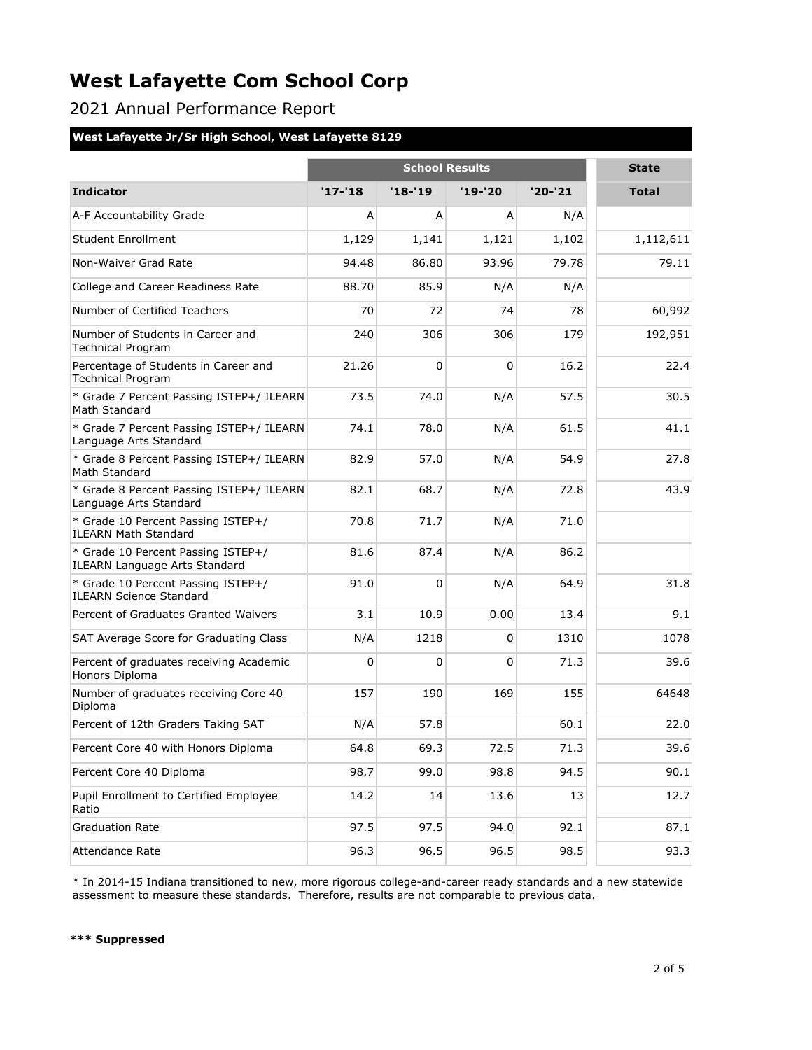2021 Annual Performance Report

### **West Lafayette Jr/Sr High School, West Lafayette 8129**

|                                                                            | <b>School Results</b> |          |          |           | <b>State</b> |
|----------------------------------------------------------------------------|-----------------------|----------|----------|-----------|--------------|
| <b>Indicator</b>                                                           | $'17 - 18$            | $'18-19$ | '19-'20  | $'20-'21$ | <b>Total</b> |
| A-F Accountability Grade                                                   | A                     | A        | A        | N/A       |              |
| <b>Student Enrollment</b>                                                  | 1,129                 | 1,141    | 1,121    | 1,102     | 1,112,611    |
| Non-Waiver Grad Rate                                                       | 94.48                 | 86.80    | 93.96    | 79.78     | 79.11        |
| College and Career Readiness Rate                                          | 88.70                 | 85.9     | N/A      | N/A       |              |
| Number of Certified Teachers                                               | 70                    | 72       | 74       | 78        | 60,992       |
| Number of Students in Career and<br><b>Technical Program</b>               | 240                   | 306      | 306      | 179       | 192,951      |
| Percentage of Students in Career and<br><b>Technical Program</b>           | 21.26                 | $\Omega$ | $\Omega$ | 16.2      | 22.4         |
| * Grade 7 Percent Passing ISTEP+/ ILEARN<br>Math Standard                  | 73.5                  | 74.0     | N/A      | 57.5      | 30.5         |
| * Grade 7 Percent Passing ISTEP+/ ILEARN<br>Language Arts Standard         | 74.1                  | 78.0     | N/A      | 61.5      | 41.1         |
| * Grade 8 Percent Passing ISTEP+/ ILEARN<br>Math Standard                  | 82.9                  | 57.0     | N/A      | 54.9      | 27.8         |
| * Grade 8 Percent Passing ISTEP+/ ILEARN<br>Language Arts Standard         | 82.1                  | 68.7     | N/A      | 72.8      | 43.9         |
| * Grade 10 Percent Passing ISTEP+/<br><b>ILEARN Math Standard</b>          | 70.8                  | 71.7     | N/A      | 71.0      |              |
| * Grade 10 Percent Passing ISTEP+/<br><b>ILEARN Language Arts Standard</b> | 81.6                  | 87.4     | N/A      | 86.2      |              |
| * Grade 10 Percent Passing ISTEP+/<br><b>ILEARN Science Standard</b>       | 91.0                  | $\Omega$ | N/A      | 64.9      | 31.8         |
| Percent of Graduates Granted Waivers                                       | 3.1                   | 10.9     | 0.00     | 13.4      | 9.1          |
| SAT Average Score for Graduating Class                                     | N/A                   | 1218     | $\Omega$ | 1310      | 1078         |
| Percent of graduates receiving Academic<br>Honors Diploma                  | 0                     | 0        | 0        | 71.3      | 39.6         |
| Number of graduates receiving Core 40<br>Diploma                           | 157                   | 190      | 169      | 155       | 64648        |
| Percent of 12th Graders Taking SAT                                         | N/A                   | 57.8     |          | 60.1      | 22.0         |
| Percent Core 40 with Honors Diploma                                        | 64.8                  | 69.3     | 72.5     | 71.3      | 39.6         |
| Percent Core 40 Diploma                                                    | 98.7                  | 99.0     | 98.8     | 94.5      | 90.1         |
| Pupil Enrollment to Certified Employee<br>Ratio                            | 14.2                  | 14       | 13.6     | 13        | 12.7         |
| <b>Graduation Rate</b>                                                     | 97.5                  | 97.5     | 94.0     | 92.1      | 87.1         |
| Attendance Rate                                                            | 96.3                  | 96.5     | 96.5     | 98.5      | 93.3         |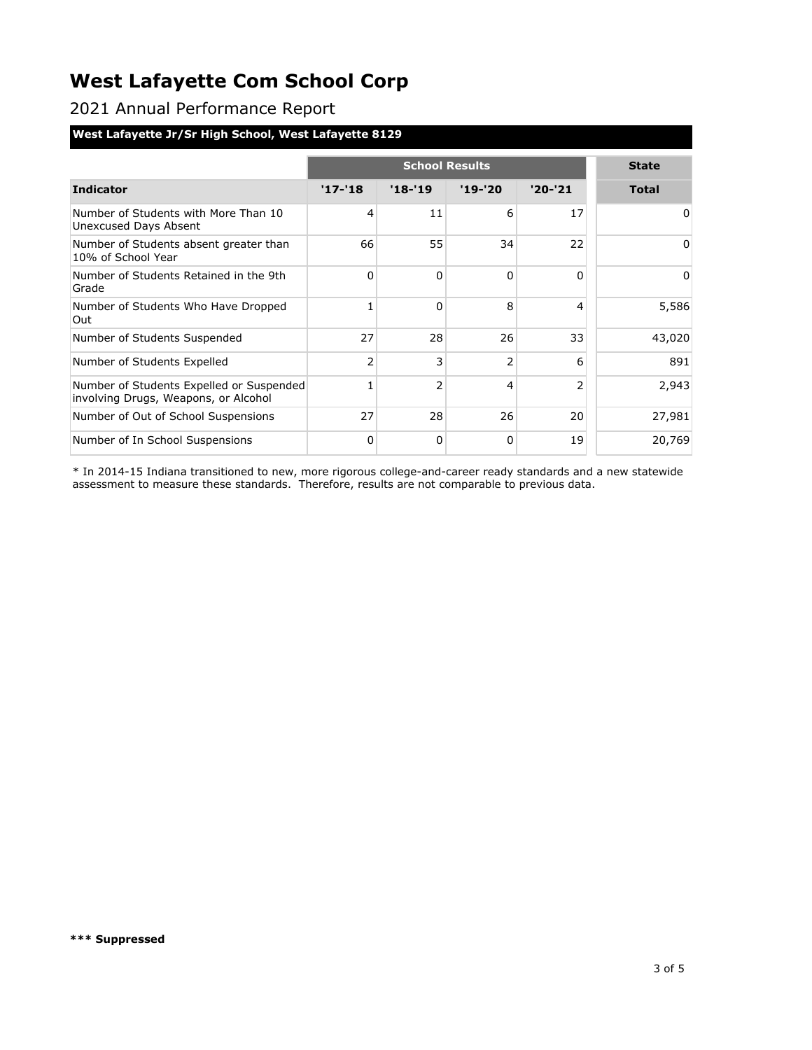2021 Annual Performance Report

### **West Lafayette Jr/Sr High School, West Lafayette 8129**

|                                                                                  | <b>School Results</b> |                |                |                | <b>State</b> |
|----------------------------------------------------------------------------------|-----------------------|----------------|----------------|----------------|--------------|
|                                                                                  |                       |                |                |                |              |
| <b>Indicator</b>                                                                 | $'17 - 18$            | $'18 - 19$     | $'19-'20$      | $'20-'21$      | <b>Total</b> |
| Number of Students with More Than 10<br>Unexcused Days Absent                    | 4                     | 11             | 6              | 17             | 0            |
| Number of Students absent greater than<br>10% of School Year                     | 66                    | 55             | 34             | 22             | 0            |
| Number of Students Retained in the 9th<br>Grade                                  | $\Omega$              | $\Omega$       | $\Omega$       | $\Omega$       | 0            |
| Number of Students Who Have Dropped<br>Out                                       | 1                     | $\Omega$       | 8              | 4              | 5,586        |
| Number of Students Suspended                                                     | 27                    | 28             | 26             | 33             | 43,020       |
| Number of Students Expelled                                                      | $\overline{2}$        | 3              | $\overline{2}$ | 6              | 891          |
| Number of Students Expelled or Suspended<br>involving Drugs, Weapons, or Alcohol | 1                     | $\overline{2}$ | 4              | $\overline{2}$ | 2,943        |
| Number of Out of School Suspensions                                              | 27                    | 28             | 26             | 20             | 27,981       |
| Number of In School Suspensions                                                  | 0                     | 0              | 0              | 19             | 20,769       |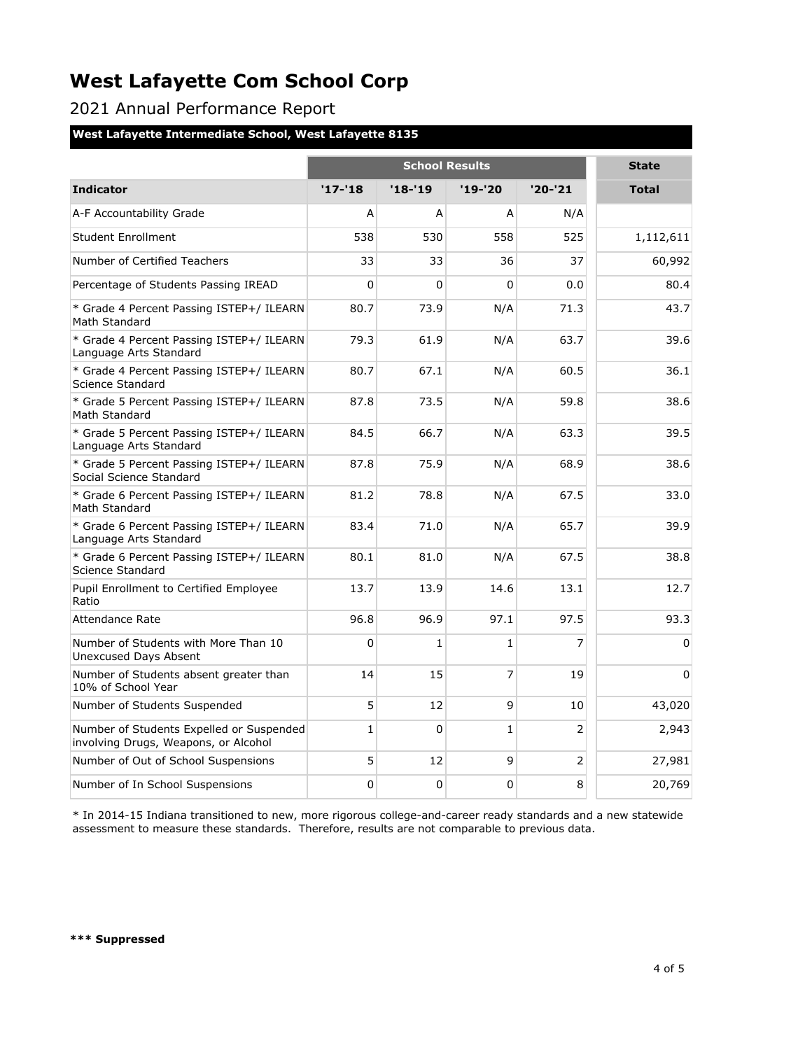2021 Annual Performance Report

#### **West Lafayette Intermediate School, West Lafayette 8135**

|                                                                                  | <b>School Results</b> |          |              |                | <b>State</b> |
|----------------------------------------------------------------------------------|-----------------------|----------|--------------|----------------|--------------|
| <b>Indicator</b>                                                                 | $'17 - 18$            | $'18-19$ | '19-'20      | $'20-'21$      | <b>Total</b> |
| A-F Accountability Grade                                                         | A                     | A        | A            | N/A            |              |
| <b>Student Enrollment</b>                                                        | 538                   | 530      | 558          | 525            | 1,112,611    |
| Number of Certified Teachers                                                     | 33                    | 33       | 36           | 37             | 60,992       |
| Percentage of Students Passing IREAD                                             | 0                     | 0        | $\Omega$     | 0.0            | 80.4         |
| * Grade 4 Percent Passing ISTEP+/ ILEARN<br>Math Standard                        | 80.7                  | 73.9     | N/A          | 71.3           | 43.7         |
| * Grade 4 Percent Passing ISTEP+/ ILEARN<br>Language Arts Standard               | 79.3                  | 61.9     | N/A          | 63.7           | 39.6         |
| * Grade 4 Percent Passing ISTEP+/ ILEARN<br>Science Standard                     | 80.7                  | 67.1     | N/A          | 60.5           | 36.1         |
| * Grade 5 Percent Passing ISTEP+/ ILEARN<br>Math Standard                        | 87.8                  | 73.5     | N/A          | 59.8           | 38.6         |
| * Grade 5 Percent Passing ISTEP+/ ILEARN<br>Language Arts Standard               | 84.5                  | 66.7     | N/A          | 63.3           | 39.5         |
| * Grade 5 Percent Passing ISTEP+/ ILEARN<br>Social Science Standard              | 87.8                  | 75.9     | N/A          | 68.9           | 38.6         |
| * Grade 6 Percent Passing ISTEP+/ ILEARN<br>Math Standard                        | 81.2                  | 78.8     | N/A          | 67.5           | 33.0         |
| * Grade 6 Percent Passing ISTEP+/ ILEARN<br>Language Arts Standard               | 83.4                  | 71.0     | N/A          | 65.7           | 39.9         |
| * Grade 6 Percent Passing ISTEP+/ ILEARN<br>Science Standard                     | 80.1                  | 81.0     | N/A          | 67.5           | 38.8         |
| Pupil Enrollment to Certified Employee<br>Ratio                                  | 13.7                  | 13.9     | 14.6         | 13.1           | 12.7         |
| Attendance Rate                                                                  | 96.8                  | 96.9     | 97.1         | 97.5           | 93.3         |
| Number of Students with More Than 10<br><b>Unexcused Days Absent</b>             | 0                     | 1        | $\mathbf{1}$ | $\overline{7}$ | $\Omega$     |
| Number of Students absent greater than<br>10% of School Year                     | 14                    | 15       | 7            | 19             | $\Omega$     |
| Number of Students Suspended                                                     | 5                     | 12       | 9            | 10             | 43,020       |
| Number of Students Expelled or Suspended<br>involving Drugs, Weapons, or Alcohol | $\mathbf{1}$          | $\Omega$ | $\mathbf{1}$ | $\overline{2}$ | 2,943        |
| Number of Out of School Suspensions                                              | 5                     | 12       | 9            | 2              | 27,981       |
| Number of In School Suspensions                                                  | 0                     | 0        | 0            | 8              | 20,769       |